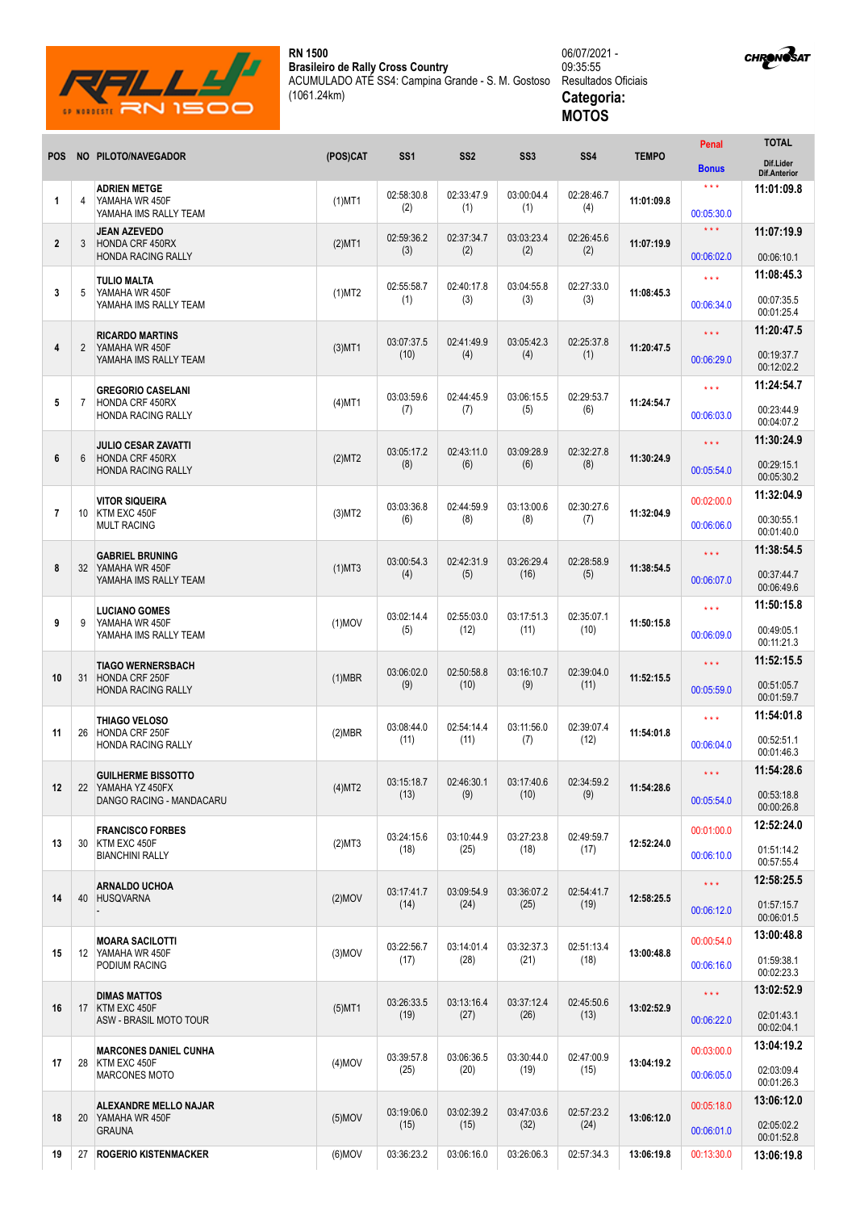

**RN 1500 Brasileiro de Rally Cross Country** ACUMULADO ATÉ SS4: Campina Grande - S. M. Gostoso (1061.24km)



| <b>CHRONOSAT</b> |
|------------------|
|                  |

|                |                |                                                                     |           |                    |                    |                    |                    |              | Penal                           | <b>TOTAL</b>                     |
|----------------|----------------|---------------------------------------------------------------------|-----------|--------------------|--------------------|--------------------|--------------------|--------------|---------------------------------|----------------------------------|
| <b>POS</b>     |                | NO PILOTO/NAVEGADOR                                                 | (POS)CAT  | SS <sub>1</sub>    | SS <sub>2</sub>    | SS <sub>3</sub>    | <b>SS4</b>         | <b>TEMPO</b> | <b>Bonus</b>                    | Dif.Lider<br><b>Dif.Anterior</b> |
| 1              | 4              | <b>ADRIEN METGE</b><br>YAMAHA WR 450F                               | $(1)$ MT1 | 02:58:30.8         | 02:33:47.9         | 03:00:04.4         | 02:28:46.7         | 11:01:09.8   | $***$                           | 11:01:09.8                       |
|                |                | YAMAHA IMS RALLY TEAM                                               |           | (2)                | (1)                | (1)                | (4)                |              | 00:05:30.0                      |                                  |
| $\overline{2}$ | 3              | <b>JEAN AZEVEDO</b><br>HONDA CRF 450RX<br><b>HONDA RACING RALLY</b> | $(2)$ MT1 | 02:59:36.2<br>(3)  | 02:37:34.7<br>(2)  | 03:03:23.4<br>(2)  | 02:26:45.6<br>(2)  | 11:07:19.9   | $\star\star\star$<br>00:06:02.0 | 11:07:19.9<br>00:06:10.1         |
|                |                | <b>TULIO MALTA</b>                                                  |           |                    |                    |                    |                    |              | $***$                           | 11:08:45.3                       |
| 3              | 5              | YAMAHA WR 450F<br>YAMAHA IMS RALLY TEAM                             | (1)MT2    | 02:55:58.7<br>(1)  | 02:40:17.8<br>(3)  | 03:04:55.8<br>(3)  | 02:27:33.0<br>(3)  | 11:08:45.3   | 00:06:34.0                      | 00:07:35.5<br>00:01:25.4         |
|                |                | <b>RICARDO MARTINS</b>                                              |           |                    |                    |                    |                    |              | $\star \star \star$             | 11:20:47.5                       |
| 4              | $\overline{2}$ | YAMAHA WR 450F<br>YAMAHA IMS RALLY TEAM                             | $(3)$ MT1 | 03:07:37.5<br>(10) | 02:41:49.9<br>(4)  | 03:05:42.3<br>(4)  | 02:25:37.8<br>(1)  | 11:20:47.5   | 00:06:29.0                      | 00:19:37.7<br>00:12:02.2         |
|                |                | <b>GREGORIO CASELANI</b>                                            |           |                    |                    | 03:06:15.5         | 02:29:53.7         |              | $***$                           | 11:24:54.7                       |
| 5              | $\overline{7}$ | <b>HONDA CRF 450RX</b><br><b>HONDA RACING RALLY</b>                 | $(4)$ MT1 | 03:03:59.6<br>(7)  | 02:44:45.9<br>(7)  | (5)                | (6)                | 11:24:54.7   | 00:06:03.0                      | 00:23:44.9<br>00:04:07.2         |
|                |                | <b>JULIO CESAR ZAVATTI</b>                                          |           | 03:05:17.2         | 02:43:11.0         | 03:09:28.9         | 02:32:27.8         |              | $\star \star \star$             | 11:30:24.9                       |
| 6              | 6              | <b>HONDA CRF 450RX</b><br><b>HONDA RACING RALLY</b>                 | (2)MT2    | (8)                | (6)                | (6)                | (8)                | 11:30:24.9   | 00:05:54.0                      | 00:29:15.1<br>00:05:30.2         |
|                |                | <b>VITOR SIQUEIRA</b>                                               |           | 03:03:36.8         | 02:44:59.9         | 03:13:00.6         | 02:30:27.6         |              | 00:02:00.0                      | 11:32:04.9                       |
| $\overline{7}$ | 10             | KTM EXC 450F<br><b>MULT RACING</b>                                  | (3)MT2    | (6)                | (8)                | (8)                | (7)                | 11:32:04.9   | 00:06:06.0                      | 00:30:55.1<br>00:01:40.0         |
|                |                | <b>GABRIEL BRUNING</b>                                              |           | 03:00:54.3         | 02:42:31.9         | 03:26:29.4         | 02:28:58.9         |              | $\star \star \star$             | 11:38:54.5                       |
| 8              | 32             | YAMAHA WR 450F<br>YAMAHA IMS RALLY TEAM                             | $(1)$ MT3 | (4)                | (5)                | (16)               | (5)                | 11:38:54.5   | 00:06:07.0                      | 00:37:44.7<br>00:06:49.6         |
|                |                | <b>LUCIANO GOMES</b>                                                |           | 03:02:14.4         | 02:55:03.0         | 03:17:51.3         | 02:35:07.1         |              | $***$                           | 11:50:15.8                       |
| 9              | 9              | YAMAHA WR 450F<br>YAMAHA IMS RALLY TEAM                             | $(1)$ MOV | (5)                | (12)               | (11)               | (10)               | 11:50:15.8   | 00:06:09.0                      | 00:49:05.1<br>00:11:21.3         |
|                |                | <b>TIAGO WERNERSBACH</b>                                            |           | 03:06:02.0         | 02:50:58.8         | 03:16:10.7         | 02:39:04.0         |              | $\star \star \star$             | 11:52:15.5                       |
| 10             | 31             | <b>HONDA CRF 250F</b><br><b>HONDA RACING RALLY</b>                  | $(1)$ MBR | (9)                | (10)               | (9)                | (11)               | 11:52:15.5   | 00:05:59.0                      | 00:51:05.7<br>00:01:59.7         |
|                |                | THIAGO VELOSO                                                       |           | 03:08:44.0         | 02:54:14.4         | 03:11:56.0         | 02:39:07.4         |              | $***$                           | 11:54:01.8                       |
| 11             | 26             | HONDA CRF 250F<br><b>HONDA RACING RALLY</b>                         | (2)MBR    | (11)               | (11)               | (7)                | (12)               | 11:54:01.8   | 00:06:04.0                      | 00:52:51.1<br>00:01:46.3         |
|                |                | <b>GUILHERME BISSOTTO</b>                                           |           | 03:15:18.7         | 02:46:30.1         | 03:17:40.6         | 02:34:59.2         | 11:54:28.6   | $\star\star\star$               | 11:54:28.6                       |
| 12             |                | 22 YAMAHA YZ 450FX<br>DANGO RACING - MANDACARU                      | (4)MT2    | (13)               | (9)                | (10)               | (9)                |              | 00:05:54.0                      | 00:53:18.8<br>00:00:26.8         |
|                |                | <b>FRANCISCO FORBES</b>                                             |           | 03:24:15.6         | 03:10:44.9         | 03:27:23.8         | 02:49:59.7         |              | 00:01:00.0                      | 12:52:24.0                       |
| 13             |                | 30 KTM EXC 450F<br><b>BIANCHINI RALLY</b>                           | (2)MT3    | (18)               | (25)               | (18)               | (17)               | 12:52:24.0   | 00:06:10.0                      | 01:51:14.2<br>00:57:55.4         |
|                |                | <b>ARNALDO UCHOA</b><br>40 HUSQVARNA                                | $(2)$ MOV | 03:17:41.7<br>(14) | 03:09:54.9<br>(24) | 03:36:07.2<br>(25) | 02:54:41.7<br>(19) | 12:58:25.5   | $\star \star \star$             | 12:58:25.5                       |
| 14             |                |                                                                     |           |                    |                    |                    |                    |              | 00:06:12.0                      | 01:57:15.7<br>00:06:01.5         |
|                |                | <b>MOARA SACILOTTI</b>                                              |           | 03:22:56.7         | 03:14:01.4         | 03:32:37.3         | 02:51:13.4         |              | 00:00:54.0                      | 13:00:48.8                       |
| 15             |                | 12 YAMAHA WR 450F<br>PODIUM RACING                                  | $(3)$ MOV | (17)               | (28)               | (21)               | (18)               | 13:00:48.8   | 00:06:16.0                      | 01:59:38.1<br>00:02:23.3         |
| 16             |                | <b>DIMAS MATTOS</b><br>17 KTM EXC 450F<br>ASW - BRASIL MOTO TOUR    | $(5)$ MT1 | 03:26:33.5         | 03:13:16.4         | 03:37:12.4<br>(26) |                    | 13:02:52.9   | $\star \star \star$             | 13:02:52.9                       |
|                |                |                                                                     |           | (19)               | (27)               |                    | 02:45:50.6<br>(13) |              | 00:06:22.0                      | 02:01:43.1<br>00:02:04.1         |
|                |                | <b>MARCONES DANIEL CUNHA</b>                                        |           | 03:39:57.8         | 03:06:36.5         | 03:30:44.0         | 02:47:00.9         |              | 00:03:00.0                      | 13:04:19.2                       |
| 17             |                | 28 KTM EXC 450F<br><b>MARCONES MOTO</b>                             | $(4)$ MOV | (25)               | (20)               | (19)               | (15)               | 13:04:19.2   | 00:06:05.0                      | 02:03:09.4<br>00:01:26.3         |
|                |                | ALEXANDRE MELLO NAJAR                                               |           | 03:19:06.0         | 03:02:39.2         | 03:47:03.6         | 02:57:23.2         |              | 00:05:18.0                      | 13:06:12.0                       |
| 18             |                | 20 YAMAHA WR 450F<br><b>GRAUNA</b>                                  | $(5)$ MOV | (15)               | (15)               | (32)               | (24)               | 13:06:12.0   | 00:06:01.0                      | 02:05:02.2<br>00:01:52.8         |
| 19             | 27             | <b>ROGERIO KISTENMACKER</b>                                         | $(6)$ MOV | 03:36:23.2         | 03:06:16.0         | 03:26:06.3         | 02:57:34.3         | 13:06:19.8   | 00:13:30.0                      | 13:06:19.8                       |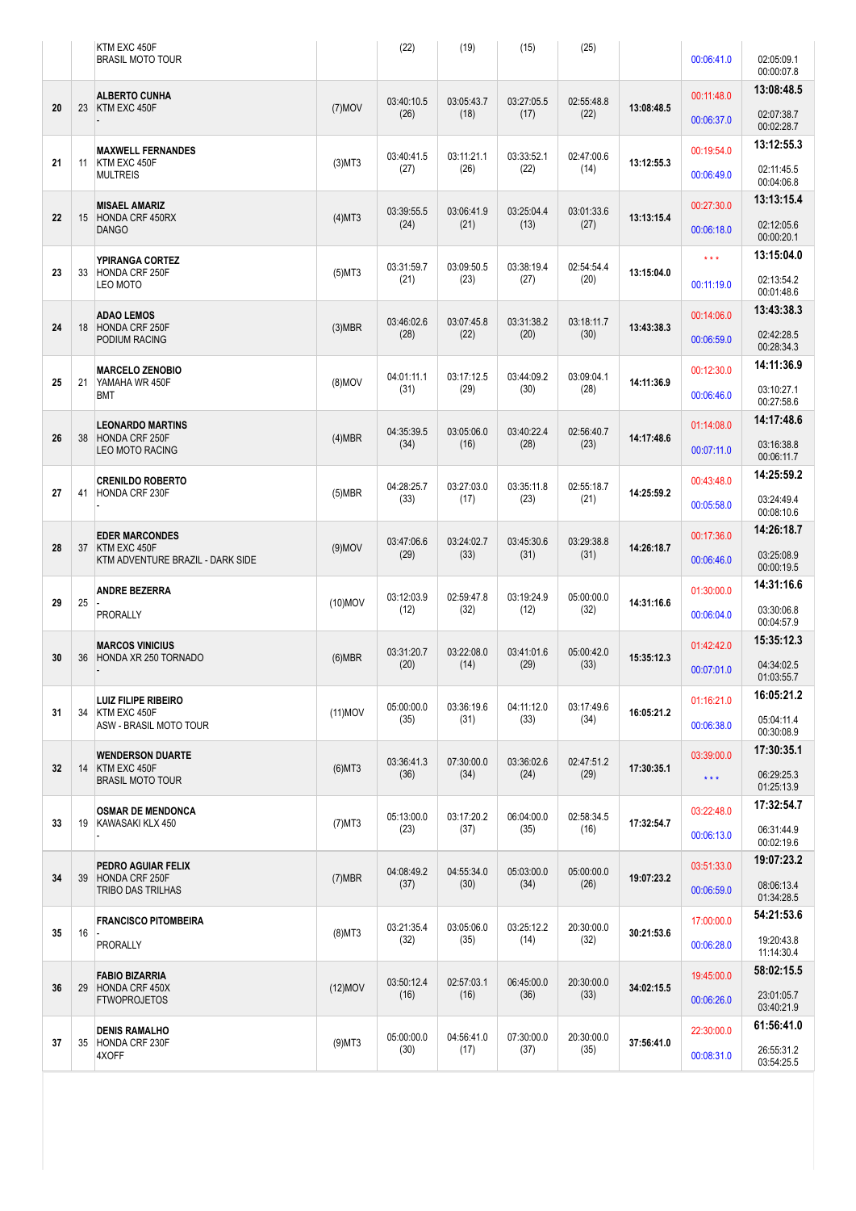|  |    |    | KTM EXC 450F<br><b>BRASIL MOTO TOUR</b>                                     |            | (22)               | (19)               | (15)               | (25)               |            | 00:06:41.0        | 02:05:09.1               |
|--|----|----|-----------------------------------------------------------------------------|------------|--------------------|--------------------|--------------------|--------------------|------------|-------------------|--------------------------|
|  |    |    |                                                                             |            |                    |                    |                    |                    |            |                   | 00:00:07.8               |
|  | 20 | 23 | <b>ALBERTO CUNHA</b><br>KTM EXC 450F                                        | $(7)$ MOV  | 03:40:10.5         | 03:05:43.7         | 03:27:05.5         | 02:55:48.8         | 13:08:48.5 | 00:11:48.0        | 13:08:48.5               |
|  |    |    |                                                                             |            | (26)               | (18)               | (17)               | (22)               |            | 00:06:37.0        | 02:07:38.7<br>00:02:28.7 |
|  |    |    | <b>MAXWELL FERNANDES</b>                                                    |            |                    |                    |                    |                    |            | 00:19:54.0        | 13:12:55.3               |
|  | 21 | 11 | KTM EXC 450F<br><b>MULTREIS</b>                                             | $(3)$ MT3  | 03:40:41.5<br>(27) | 03:11:21.1<br>(26) | 03:33:52.1<br>(22) | 02:47:00.6<br>(14) | 13:12:55.3 | 00:06:49.0        | 02:11:45.5<br>00:04:06.8 |
|  |    |    | <b>MISAEL AMARIZ</b>                                                        |            |                    |                    |                    |                    |            | 00:27:30.0        | 13:13:15.4               |
|  | 22 |    | 15 HONDA CRF 450RX<br><b>DANGO</b>                                          | (4)MT3     | 03:39:55.5<br>(24) | 03:06:41.9<br>(21) | 03:25:04.4<br>(13) | 03:01:33.6<br>(27) | 13:13:15.4 | 00:06:18.0        | 02:12:05.6<br>00:00:20.1 |
|  |    |    | YPIRANGA CORTEZ                                                             |            | 03:31:59.7         | 03:09:50.5         | 03:38:19.4         | 02:54:54.4         |            | $***$             | 13:15:04.0               |
|  | 23 | 33 | HONDA CRF 250F<br>LEO MOTO                                                  | $(5)$ MT3  | (21)               | (23)               | (27)               | (20)               | 13:15:04.0 | 00:11:19.0        | 02:13:54.2<br>00:01:48.6 |
|  |    |    | <b>ADAO LEMOS</b>                                                           |            | 03:46:02.6         | 03:07:45.8         | 03:31:38.2         | 03:18:11.7         |            | 00:14:06.0        | 13:43:38.3               |
|  | 24 |    | 18 HONDA CRF 250F<br><b>PODIUM RACING</b>                                   | $(3)$ MBR  | (28)               | (22)               | (20)               | (30)               | 13:43:38.3 | 00:06:59.0        | 02:42:28.5<br>00:28:34.3 |
|  |    |    | <b>MARCELO ZENOBIO</b>                                                      |            | 04:01:11.1         | 03:17:12.5         | 03:44:09.2         | 03:09:04.1         |            | 00:12:30.0        | 14:11:36.9               |
|  | 25 | 21 | YAMAHA WR 450F<br><b>BMT</b>                                                | $(8)$ MOV  | (31)               | (29)               | (30)               | (28)               | 14:11:36.9 | 00:06:46.0        | 03:10:27.1<br>00:27:58.6 |
|  |    |    | <b>LEONARDO MARTINS</b>                                                     |            | 04:35:39.5         | 03:05:06.0         | 03:40:22.4         | 02:56:40.7         |            | 01:14:08.0        | 14:17:48.6               |
|  | 26 | 38 | <b>HONDA CRF 250F</b><br><b>LEO MOTO RACING</b>                             | (4)MBR     | (34)               | (16)               | (28)               | (23)               | 14:17:48.6 | 00:07:11.0        | 03:16:38.8<br>00:06:11.7 |
|  |    |    | <b>CRENILDO ROBERTO</b><br>HONDA CRF 230F                                   |            | 04:28:25.7         | 03:27:03.0         | 03:35:11.8         | 02:55:18.7         |            | 00:43:48.0        | 14:25:59.2               |
|  | 27 | 41 |                                                                             | $(5)$ MBR  | (33)               | (17)               | (23)               | (21)               | 14:25:59.2 | 00:05:58.0        | 03:24:49.4<br>00:08:10.6 |
|  | 28 | 37 | <b>EDER MARCONDES</b><br>KTM EXC 450F<br>KTM ADVENTURE BRAZIL - DARK SIDE   |            | 03:47:06.6<br>(29) | 03:24:02.7<br>(33) | 03:45:30.6<br>(31) | 03:29:38.8<br>(31) | 14:26:18.7 | 00:17:36.0        | 14:26:18.7               |
|  |    |    |                                                                             | $(9)$ MOV  |                    |                    |                    |                    |            | 00:06:46.0        | 03:25:08.9<br>00:00:19.5 |
|  |    |    | <b>ANDRE BEZERRA</b>                                                        |            | 03:12:03.9         | 02:59:47.8         | 03:19:24.9         | 05:00:00.0         |            | 01:30:00.0        | 14:31:16.6               |
|  | 29 | 25 | <b>PRORALLY</b>                                                             | $(10)$ MOV | (12)               | (32)               | (12)               | (32)               | 14:31:16.6 | 00:06:04.0        | 03:30:06.8<br>00:04:57.9 |
|  |    |    | <b>MARCOS VINICIUS</b>                                                      |            | 03:31:20.7         | 03:22:08.0         | 03:41:01.6         | 05:00:42.0         |            | 01:42:42.0        | 15:35:12.3               |
|  | 30 |    | 36 HONDA XR 250 TORNADO                                                     | $(6)$ MBR  | (20)               | (14)               | (29)               | (33)               | 15:35:12.3 | 00:07:01.0        | 04:34:02.5<br>01:03:55.7 |
|  |    |    | <b>LUIZ FILIPE RIBEIRO</b><br>KTM EXC 450F<br><b>ASW - BRASIL MOTO TOUR</b> | $(11)$ MOV | 05:00:00.0<br>(35) | 03:36:19.6<br>(31) | 04:11:12.0<br>(33) | 03:17:49.6<br>(34) | 16:05:21.2 | 01:16:21.0        | 16:05:21.2               |
|  | 31 | 34 |                                                                             |            |                    |                    |                    |                    |            | 00:06:38.0        | 05:04:11.4<br>00:30:08.9 |
|  |    |    | <b>WENDERSON DUARTE</b>                                                     |            | 03:36:41.3         | 07:30:00.0         | 03:36:02.6         | 02:47:51.2         |            | 03:39:00.0        | 17:30:35.1               |
|  | 32 |    | 14 KTM EXC 450F<br><b>BRASIL MOTO TOUR</b>                                  | $(6)$ MT3  | (36)               | (34)               | (24)               | (29)               | 17:30:35.1 | $\star\star\star$ | 06:29:25.3<br>01:25:13.9 |
|  |    |    | <b>OSMAR DE MENDONCA</b><br>19 KAWASAKI KLX 450                             | $(7)$ MT3  | 05:13:00.0<br>(23) | 03:17:20.2<br>(37) | 06:04:00.0<br>(35) | 02:58:34.5<br>(16) | 17:32:54.7 | 03:22:48.0        | 17:32:54.7               |
|  | 33 |    |                                                                             |            |                    |                    |                    |                    |            | 00:06:13.0        | 06:31:44.9<br>00:02:19.6 |
|  |    |    | PEDRO AGUIAR FELIX                                                          |            | 04:08:49.2         | 04:55:34.0         | 05:03:00.0         | 05:00:00.0         |            | 03:51:33.0        | 19:07:23.2               |
|  | 34 | 39 | HONDA CRF 250F<br>TRIBO DAS TRILHAS                                         | $(7)$ MBR  | (37)               | (30)               | (34)               | (26)               | 19:07:23.2 | 00:06:59.0        | 08:06:13.4<br>01:34:28.5 |
|  |    | 16 | <b>FRANCISCO PITOMBEIRA</b><br><b>PRORALLY</b>                              | $(8)$ MT3  | 03:21:35.4<br>(32) | 03:05:06.0         | 03:25:12.2<br>(14) | 20:30:00.0<br>(32) | 30:21:53.6 | 17:00:00.0        | 54:21:53.6               |
|  | 35 |    |                                                                             |            |                    | (35)               |                    |                    |            | 00:06:28.0        | 19:20:43.8<br>11:14:30.4 |
|  |    |    | <b>FABIO BIZARRIA</b><br>HONDA CRF 450X<br><b>FTWOPROJETOS</b>              | $(12)$ MOV | 03:50:12.4<br>(16) | 02:57:03.1<br>(16) | 06:45:00.0<br>(36) | 20:30:00.0<br>(33) | 34:02:15.5 | 19:45:00.0        | 58:02:15.5               |
|  | 36 | 29 |                                                                             |            |                    |                    |                    |                    |            | 00:06:26.0        | 23:01:05.7<br>03:40:21.9 |
|  |    |    | <b>DENIS RAMALHO</b>                                                        |            | 05:00:00.0         | 04:56:41.0         | 07:30:00.0         | 20:30:00.0         |            | 22:30:00.0        | 61:56:41.0               |
|  | 37 |    | 35 HONDA CRF 230F<br>4XOFF                                                  | $(9)$ MT3  | (30)               | (17)               | (37)               | (35)               | 37:56:41.0 | 00:08:31.0        | 26:55:31.2<br>03:54:25.5 |